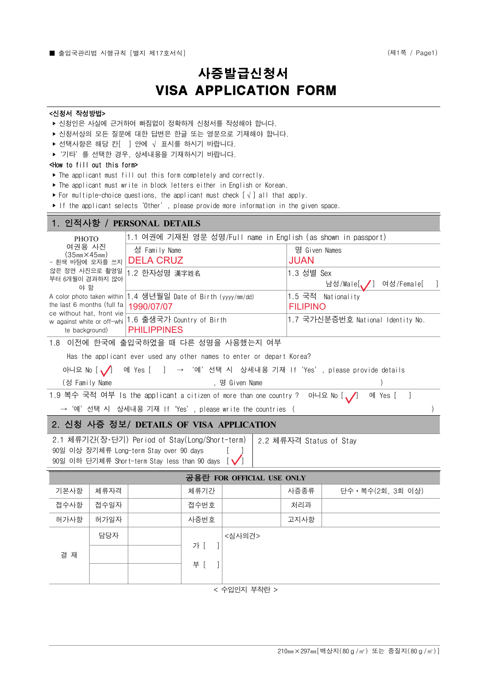# 사증발급신청서 <sup>17호서식]</sup><br>사증발급신청서<br>VISA APPLICATION FORM

#### <신청서 작성방법>

- ‣ 신청인은 사실에 근거하여 빠짐없이 정확하게 신청서를 작성해야 합니다.
- ▶ 신청서상의 모든 질문에 대한 답변은 한글 또는 영문으로 기재해야 합니다.
- ▶ 선택사항은 해당 칸<br />  $\bigcup$  안에  $\bigvee$  표시를 하시기 바랍니다.
- ▶ '기타'를 선택한 경우, 상세내용을 기재하시기 바랍니다.

#### <How to fill out this form>

- ‣ The applicant must fill out this form completely and correctly.
- ‣ The applicant must write in block letters either in English or Korean.
- ► For multiple-choice questions, the applicant must check  $[\sqrt{}]$  all that apply.
- ‣ If the applicant selects'Other', please provide more information in the given space.

|                                                                        |      | 1. 인적사항 / PERSONAL DETAILS                                                                                                                     |                           |                |  |                                                                               |                                                               |  |
|------------------------------------------------------------------------|------|------------------------------------------------------------------------------------------------------------------------------------------------|---------------------------|----------------|--|-------------------------------------------------------------------------------|---------------------------------------------------------------|--|
| PHOTO                                                                  |      | 1.1 여권에 기재된 영문 성명/Full name in English (as shown in passport)                                                                                  |                           |                |  |                                                                               |                                                               |  |
| 여권용 사진<br>(35 <sub>mm</sub> ×45 <sub>mm</sub> )<br>- 흰색 바탕에 모자를 쓰지     |      | 성 Family Name<br><b>DELA CRUZ</b>                                                                                                              |                           |                |  | 명 Given Names<br><b>JUAN</b>                                                  |                                                               |  |
| 않은 정면 사진으로 촬영일<br>부터 6개월이 경과하지 않아<br>야 함<br>the last 6 months (full fa |      | 1.2 한자성명 漢字姓名<br>A color photo taken within 1.4 생년월일 Date of Birth (yyyy/mm/dd)<br>1990/07/07                                                  |                           |                |  | 1.3 성별 Sex<br>남성/Male[//] 여성/Female[<br>1.5 국적 Nationality<br><b>FILIPINO</b> |                                                               |  |
|                                                                        |      |                                                                                                                                                |                           |                |  |                                                                               |                                                               |  |
| ce without hat, front vie<br>te background)                            |      | w against white or off-whi   1.6 출생국가 Country of Birth<br><b>PHILIPPINES</b>                                                                   |                           |                |  | 1.7 국가신분증번호 National Identity No.                                             |                                                               |  |
| 1.8 이전에 한국에 출입국하였을 때 다른 성명을 사용했는지 여부                                   |      |                                                                                                                                                |                           |                |  |                                                                               |                                                               |  |
|                                                                        |      | Has the applicant ever used any other names to enter or depart Korea?                                                                          |                           |                |  |                                                                               |                                                               |  |
| 아니요 No $\Lambda$                                                       |      |                                                                                                                                                |                           |                |  |                                                                               | 예 Yes [ ] → '예' 선택 시 상세내용 기재 If 'Yes', please provide details |  |
| (성 Family Name                                                         |      |                                                                                                                                                |                           | , 명 Given Name |  |                                                                               |                                                               |  |
|                                                                        |      | 1.9 복수 국적 여부 Is the applicant a citizen of more than one country ? 아니요 No [ /]                                                                 |                           |                |  |                                                                               | $\Box$<br>예 Yes [                                             |  |
|                                                                        |      | → '예' 선택 시 상세내용 기재 If 'Yes', please write the countries (                                                                                      |                           |                |  |                                                                               |                                                               |  |
|                                                                        |      | 2. 신청 사증 정보/ DETAILS OF VISA APPLICATION                                                                                                       |                           |                |  |                                                                               |                                                               |  |
|                                                                        |      | 2.1 체류기간(장·단기) Period of Stay(Long/Short-term)<br>90일 이상 장기체류 Long-term Stay over 90 days<br>90일 이하 단기체류 Short-term Stay less than 90 days [✔] |                           |                |  | 2.2 체류자격 Status of Stay                                                       |                                                               |  |
|                                                                        |      |                                                                                                                                                | 공용란 FOR OFFICIAL USE ONLY |                |  |                                                                               |                                                               |  |
| 기본사항                                                                   | 체류자격 |                                                                                                                                                | 체류기간                      |                |  | 사증종류                                                                          | 단수 · 복수(2회, 3회 이상)                                            |  |
| 접수사항                                                                   | 접수일자 |                                                                                                                                                | 접수번호                      |                |  | 처리과                                                                           |                                                               |  |
| 허가사항                                                                   | 허가일자 |                                                                                                                                                | 사증번호                      |                |  | 고지사항                                                                          |                                                               |  |
|                                                                        | 담당자  |                                                                                                                                                |                           | <심사의견>         |  |                                                                               |                                                               |  |
|                                                                        |      |                                                                                                                                                | 가 [                       |                |  |                                                                               |                                                               |  |
| 결 재                                                                    |      |                                                                                                                                                | 부 [                       |                |  |                                                                               |                                                               |  |
|                                                                        |      |                                                                                                                                                |                           |                |  |                                                                               |                                                               |  |
|                                                                        |      |                                                                                                                                                |                           |                |  |                                                                               |                                                               |  |

< 수입인지 부착란 >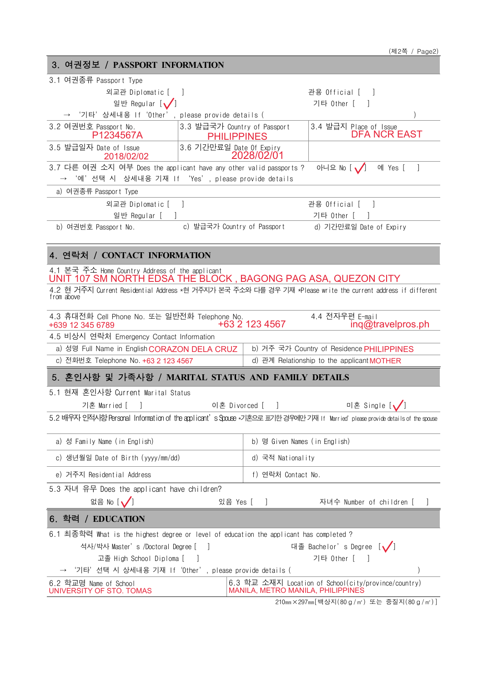| 3. 여권정보 / PASSPORT INFORMATION                                                                                   |                                                                                                                                |  |  |
|------------------------------------------------------------------------------------------------------------------|--------------------------------------------------------------------------------------------------------------------------------|--|--|
| 3.1 여권종류 Passport Type                                                                                           |                                                                                                                                |  |  |
| 외교관 Diplomatic [                                                                                                 | 관용 Official [ ]                                                                                                                |  |  |
| 일반 Regular [✔️]                                                                                                  | 기타 Other [                                                                                                                     |  |  |
| '기타'상세내용 If'Other', please provide details (                                                                     |                                                                                                                                |  |  |
| 3.3 발급국가 Country of Passport<br>3.2 여권번호 Passport No.<br>P1234567A<br><b>PHILIPPINES</b>                         | 3.4 발급지 Place of Issue<br><b>DFA NCR EAST</b>                                                                                  |  |  |
| 3.6 기간만료일 Date Of Expiry<br>3.5 발급일자 Date of Issue<br>2018/02/02                                                 | 2028/02/01                                                                                                                     |  |  |
| 3.7 다른 여권 소지 여부 Does the applicant have any other valid passports ?                                              | -1<br>아니요 No $\sqrt{ }$<br>예 Yes [                                                                                             |  |  |
| '예'선택 시 상세내용 기재 If 'Yes', please provide details                                                                 |                                                                                                                                |  |  |
| a) 여권종류 Passport Type                                                                                            |                                                                                                                                |  |  |
| 외교관 Diplomatic [ ]                                                                                               | 관용 Official [                                                                                                                  |  |  |
| 일반 Regular [                                                                                                     | 기타 Other [                                                                                                                     |  |  |
| c) 발급국가 Country of Passport<br>b) 여권번호 Passport No.                                                              | d) 기간만료일 Date of Expiry                                                                                                        |  |  |
| 4. 연락처 / CONTACT INFORMATION                                                                                     |                                                                                                                                |  |  |
| 4.1 본국 주소 Home Country Address of the applicant<br>UNIT 107 SM NORTH EDSA THE BLOCK, BAGONG PAG ASA, QUEZON CITY |                                                                                                                                |  |  |
|                                                                                                                  | 4.2 현 거주지 Current Residential Address *현 거주지가 본국 주소와 다를 경우 기재 *Please write the current address if different                   |  |  |
| from above                                                                                                       |                                                                                                                                |  |  |
| 4.3 휴대전화 Cell Phone No. 또는 일반전화 Telephone No.<br>+639 12 345 6789                                                | 4.4 전자우편 E-mail<br>+63 2 123 4567<br>$inq@$ travelpros.ph                                                                      |  |  |
| 4.5 비상시 연락처 Emergency Contact Information                                                                        |                                                                                                                                |  |  |
| a) 성명 Full Name in English CORAZON DELA CRUZ                                                                     | b) 거주 국가 Country of Residence PHILIPPINES                                                                                      |  |  |
| c) 전화번호 Telephone No. +63 2 123 4567                                                                             | d) 관계 Relationship to the applicant <b>MOTHER</b>                                                                              |  |  |
| 5. 혼인사항 및 가족사항 / MARITAL STATUS AND FAMILY DETAILS                                                               |                                                                                                                                |  |  |
| 5.1 현재 혼인사항 Current Marital Status                                                                               |                                                                                                                                |  |  |
| 이혼 Divorced [<br>기혼 Married [                                                                                    | 미혼 Single [                                                                                                                    |  |  |
|                                                                                                                  | 5.2 배우자 인적시항 Personal Information of the applicant's Spouse *기혼으로 표기한 경우에만 기재 If Married' please provide details of the spouse |  |  |
| a) 성 Family Name (in English)                                                                                    | b) 명 Given Names (in English)                                                                                                  |  |  |
| c) 생년월일 Date of Birth (yyyy/mm/dd)                                                                               | d) 국적 Nationality                                                                                                              |  |  |
| e) 거주지 Residential Address                                                                                       | f) 연락처 Contact No.                                                                                                             |  |  |
| 5.3 자녀 유무 Does the applicant have children?                                                                      |                                                                                                                                |  |  |
| 없음 No $[\sqrt]$<br>있음 Yes [                                                                                      | 자녀수 Number of children [                                                                                                       |  |  |
| 6. 학력 / EDUCATION                                                                                                |                                                                                                                                |  |  |
| 6.1 최종학력 What is the highest degree or level of education the applicant has completed ?                          |                                                                                                                                |  |  |
| 석사/박사 Master's /Doctoral Degree [ ]                                                                              | 대졸 Bachelor's Degree [✔]                                                                                                       |  |  |
| 고졸 High School Diploma [                                                                                         | 기타 Other [                                                                                                                     |  |  |
| '기타'선택 시 상세내용 기재 If'Other', please provide details (                                                             |                                                                                                                                |  |  |
| 6.2 학교명 Name of School<br>UNIVERSITY OF STO. TOMAS                                                               | 6.3 학교 소재지 Location of School(city/province/country)<br>MANILA, METRO MANILA, PHILIPPINES                                      |  |  |
|                                                                                                                  |                                                                                                                                |  |  |

210㎜×297㎜[백상지(80g/㎡) 또는 중질지(80g/㎡)]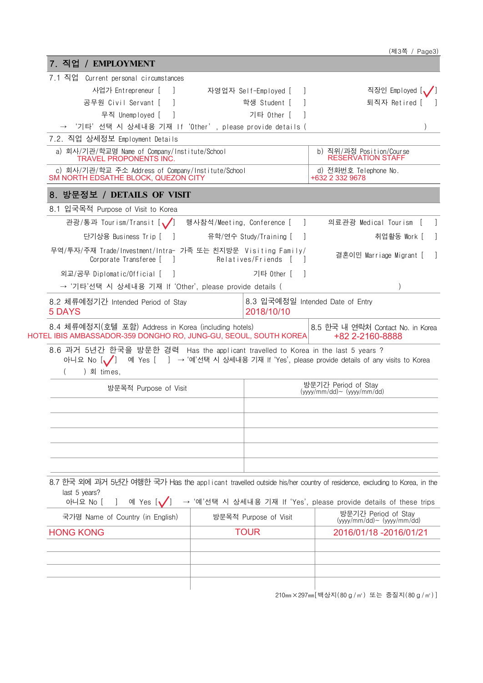| 7.1 직업 Current personal circumstances<br>사업가 Entrepreneur [<br>$\Box$<br>공무원 Civil Servant [<br>무직 Unemployed [<br>'기타'선택 시 상세내용 기재 If 'Other', please provide details ( | 자영업자 Self-Employed [       |                                       |                                                                                                                      |  |  |
|--------------------------------------------------------------------------------------------------------------------------------------------------------------------------|----------------------------|---------------------------------------|----------------------------------------------------------------------------------------------------------------------|--|--|
|                                                                                                                                                                          |                            |                                       | 직장인 Employed [/ ]                                                                                                    |  |  |
|                                                                                                                                                                          |                            | 학생 Student [                          | 퇴직자 Retired [                                                                                                        |  |  |
|                                                                                                                                                                          |                            | 기타 Other [                            |                                                                                                                      |  |  |
|                                                                                                                                                                          |                            |                                       |                                                                                                                      |  |  |
| 7.2. 직업 상세정보 Employment Details                                                                                                                                          |                            |                                       |                                                                                                                      |  |  |
| a) 회사/기관/학교명 Name of Company/Institute/School<br><b>TRAVEL PROPONENTS INC.</b>                                                                                           |                            |                                       | b) 직위/과정 Position/Course<br><b>RESERVATION STAFF</b>                                                                 |  |  |
| c) 회사/기관/학교 주소 Address of Company/Institute/School<br>SM NORTH EDSATHE BLOCK, QUEZON CITY                                                                                |                            |                                       | d) 전화번호 Telephone No.<br>+632 2 332 9678                                                                             |  |  |
| 8. 방문정보 / DETAILS OF VISIT                                                                                                                                               |                            |                                       |                                                                                                                      |  |  |
| 8.1 입국목적 Purpose of Visit to Korea                                                                                                                                       |                            |                                       |                                                                                                                      |  |  |
| 관광/통과 Tourism/Transit [ /                                                                                                                                                | 행사참석/Meeting, Conference [ |                                       | 의료관광 Medical Tourism<br>$\perp$                                                                                      |  |  |
| 단기상용 Business Trip [ ]                                                                                                                                                   |                            | 유학/연수 Study/Training [                | 취업활동 Work [                                                                                                          |  |  |
| 무역/투자/주재 Trade/Investment/Intra- 가족 또는 친지방문 Visiting Family/<br>Corporate Transferee [ ]                                                                                 |                            | Relatives/Friends                     | 결혼이민 Marriage Migrant [                                                                                              |  |  |
| 외교/공무 Diplomatic/Official [<br>$\sim$ 1.                                                                                                                                 |                            | 기타 Other [ 1                          |                                                                                                                      |  |  |
| → '기타'선택 시 상세내용 기재 If 'Other', please provide details (                                                                                                                  |                            |                                       |                                                                                                                      |  |  |
| 8.2 체류예정기간 Intended Period of Stay<br>5 DAYS                                                                                                                             |                            | 2018/10/10                            | 8.3 입국예정일 Intended Date of Entry                                                                                     |  |  |
| 8.4 체류예정지(호텔 포함) Address in Korea (including hotels)<br>HOTEL IBIS AMBASSADOR-359 DONGHO RO, JUNG-GU, SEOUL, SOUTH KOREA                                                 |                            |                                       | 8.5 한국 내 연락처 Contact No. in Korea<br>+82 2-2160-8888                                                                 |  |  |
| 8.6 과거 5년간 한국을 방문한 경력 Has the applicant travelled to Korea in the last 5 years ?<br>아니요 No $\left\lfloor \bigvee\right\rfloor$<br>) 회 times,                             |                            |                                       | 예 Yes [ ] → '예'선택 시 상세내용 기재 If 'Yes', please provide details of any visits to Korea                                  |  |  |
| 방문목적 Purpose of Visit                                                                                                                                                    |                            |                                       | 방문기간 Period of Stav                                                                                                  |  |  |
|                                                                                                                                                                          |                            |                                       | $(yyyy/mm / dd)$ $(yyyy/mm / dd)$                                                                                    |  |  |
|                                                                                                                                                                          |                            |                                       |                                                                                                                      |  |  |
|                                                                                                                                                                          |                            |                                       |                                                                                                                      |  |  |
|                                                                                                                                                                          |                            |                                       |                                                                                                                      |  |  |
|                                                                                                                                                                          |                            |                                       |                                                                                                                      |  |  |
|                                                                                                                                                                          |                            |                                       |                                                                                                                      |  |  |
|                                                                                                                                                                          |                            |                                       | 8.7 한국 외에 과거 5년간 여행한 국가 Has the applicant travelled outside his/her country of residence, excluding to Korea, in the |  |  |
| last 5 years?<br>아니요 No [<br>예 Yes [V                                                                                                                                    |                            |                                       | → '예'선택 시 상세내용 기재 If 'Yes', please provide details of these trips                                                    |  |  |
| 국가명 Name of Country (in English)                                                                                                                                         |                            | 방문목적 Purpose of Visit                 | 방문기간 Period of Stav<br>$(yyyy/mm/dd) \sim (yyyy/mm/dd)$                                                              |  |  |
| <b>HONG KONG</b>                                                                                                                                                         |                            | <b>TOUR</b><br>2016/01/18 -2016/01/21 |                                                                                                                      |  |  |
|                                                                                                                                                                          |                            |                                       |                                                                                                                      |  |  |

210㎜×297㎜[백상지(80g/㎡) 또는 중질지(80g/㎡)]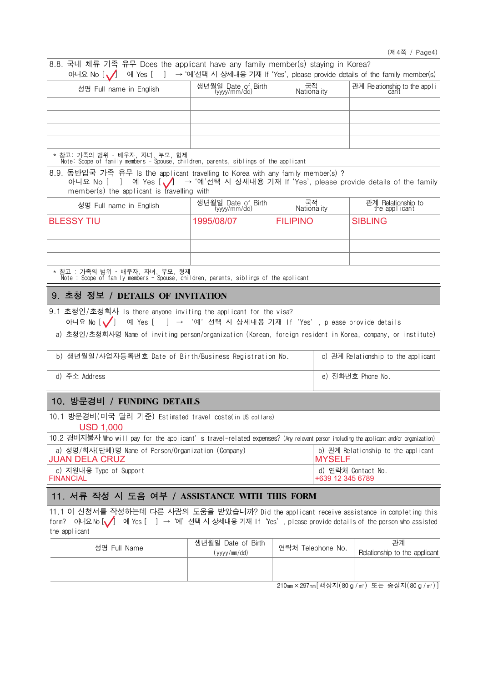| 아니요 No $\begin{bmatrix} 1 \\ 1 \end{bmatrix}$ 예 Yes $\begin{bmatrix} 1 \\ 1 \end{bmatrix}$ → '예'선택 시 상세내용 기재 If 'Yes', please provide details of the family member(s) |                                  |                   |                              |  |  |
|-----------------------------------------------------------------------------------------------------------------------------------------------------------------------|----------------------------------|-------------------|------------------------------|--|--|
| 성명 Full name in English                                                                                                                                               | 생년월일 Date of Birth<br>(ww/mm/dd) | 국적<br>Nationality | 관계 Relationship to the appli |  |  |
|                                                                                                                                                                       |                                  |                   |                              |  |  |
|                                                                                                                                                                       |                                  |                   |                              |  |  |
|                                                                                                                                                                       |                                  |                   |                              |  |  |
|                                                                                                                                                                       |                                  |                   |                              |  |  |

\* 참고: 가족의 범위 – 배우자, 자녀, 부모, 형제 Note: Scope of family members - Spouse, children, parents, siblings of the applicant

8.8. 국내 체류 가족 유무 Does the applicant have any family member(s) staying in Korea?

8.9. 동반입국 가족 유무 Is the applicant travelling to Korea with any family member(s) ? 아니요 No [ ] 예 Yes  $\left(\bigvee \right)$   $\rightarrow$  '예'선택 시 상세내용 기재 If 'Yes', please provide details of the family member(s) the applicant is travelling with

| 성명 Full name in English | 생년월일 Date of Birth<br>(yyyy/mm/dd) | 국적<br>Nationality | 관계 Relationship to<br>the applicant |
|-------------------------|------------------------------------|-------------------|-------------------------------------|
| <b>BLESSY TIU</b>       | 1995/08/07                         | <b>FILIPINO</b>   | <b>SIBLING</b>                      |
|                         |                                    |                   |                                     |
|                         |                                    |                   |                                     |
|                         |                                    |                   |                                     |

\* 참고 : 가족의 범위 – 배우자, 자녀, 부모, 형제 Note : Scope of family members - Spouse, children, parents, siblings of the applicant

# 9. 초청 정보 / **DETAILS OF INVITATION**

9.1 초청인/초청회사 Is there anyone inviting the applicant for the visa? 아니요 No  $\left[\sqrt{\right]$  예 Yes  $\left[\begin{array}{ccc} \end{array}\right]$  → '예'선택 시 상세내용 기재 If 'Yes', please provide details

a) 초청인/초청회사명 Name of inviting person/organization (Korean, foreign resident in Korea, company, or institute)

| b) 생년월일/사업자등록번호 Date of Birth/Business Registration No. | c) 관계 Relationship to the applicant |
|---------------------------------------------------------|-------------------------------------|
| d) 주소 Address                                           | e) 전화번호 Phone No.                   |

### 10. 방문경비 / **FUNDING DETAILS**

10.1 방문경비(미국 달러 기준) Estimated travel costs(in US dollars)

USD 1,000

| 10.2 경비지불자 Who will pay for the applicant's travel-related expenses? (Any relevant person including the applicant and/or organization) |                                      |  |  |  |
|----------------------------------------------------------------------------------------------------------------------------------------|--------------------------------------|--|--|--|
| a) 성명/회사(단체)명 Name of Person/Organization (Company)                                                                                    | ㅣb) 관계 Relationship to the applicant |  |  |  |
| <b>JUAN DELA CRUZ</b>                                                                                                                  | <b>IMYSELF</b>                       |  |  |  |

| c) 지원내용 Type of Support | d) 연락처 Contact   |
|-------------------------|------------------|
| <b>FINANCIAL</b>        | +639 12 345 6789 |

# 11. 서류 작성 시 도움 여부 / **ASSISTANCE WITH THIS FORM**

11.1 이 신청서를 작성하는데 다른 사람의 도움을 받았습니까? Did the applicant receive assistance in completing this form? 아니요 No [✔️] 예 Yes [ ] → '예'선택 시 상세내용 기재 If 'Yes', please provide details of the person who assisted the applicant

| 성명 Full Name | 생년월일 Date of Birth<br>(yyyy/mm/dd) | · 연락처 Telephone No. | 관계<br>Relationship to the applicant                                                                                                                                            |
|--------------|------------------------------------|---------------------|--------------------------------------------------------------------------------------------------------------------------------------------------------------------------------|
|              |                                    |                     |                                                                                                                                                                                |
|              |                                    |                     | $0.10 \times 1007$ $\left[ \frac{101}{11} \right]$ $\left[ \frac{1}{200} \right]$ $\left[ \frac{1}{200} \right]$ $\left[ \frac{1}{200} \right]$ $\left[ \frac{1}{200} \right]$ |

210㎜×297㎜[백상지(80g/㎡) 또는 중질지(80g/㎡)]

d) 연락처 Contact No.